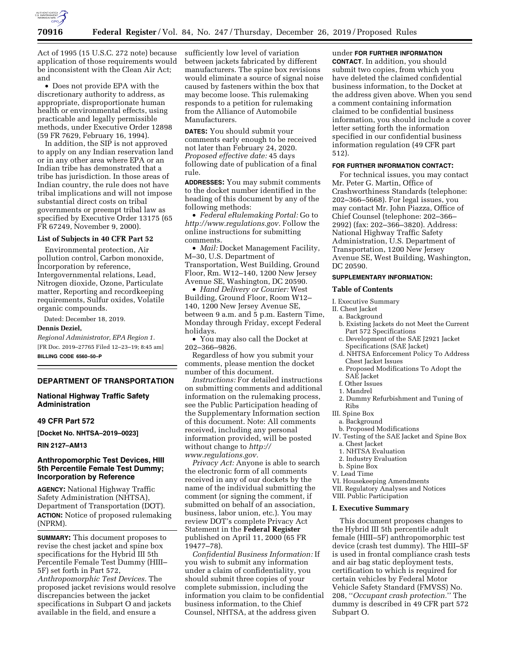

Act of 1995 (15 U.S.C. 272 note) because application of those requirements would be inconsistent with the Clean Air Act; and

• Does not provide EPA with the discretionary authority to address, as appropriate, disproportionate human health or environmental effects, using practicable and legally permissible methods, under Executive Order 12898 (59 FR 7629, February 16, 1994).

In addition, the SIP is not approved to apply on any Indian reservation land or in any other area where EPA or an Indian tribe has demonstrated that a tribe has jurisdiction. In those areas of Indian country, the rule does not have tribal implications and will not impose substantial direct costs on tribal governments or preempt tribal law as specified by Executive Order 13175 (65 FR 67249, November 9, 2000).

### **List of Subjects in 40 CFR Part 52**

Environmental protection, Air pollution control, Carbon monoxide, Incorporation by reference, Intergovernmental relations, Lead, Nitrogen dioxide, Ozone, Particulate matter, Reporting and recordkeeping requirements, Sulfur oxides, Volatile organic compounds.

Dated: December 18, 2019.

#### **Dennis Deziel,**

*Regional Administrator, EPA Region 1.*  [FR Doc. 2019–27765 Filed 12–23–19; 8:45 am] **BILLING CODE 6560–50–P** 

#### **DEPARTMENT OF TRANSPORTATION**

**National Highway Traffic Safety Administration** 

### **49 CFR Part 572**

**[Docket No. NHTSA–2019–0023]** 

**RIN 2127–AM13** 

## **Anthropomorphic Test Devices, HIII 5th Percentile Female Test Dummy; Incorporation by Reference**

**AGENCY:** National Highway Traffic Safety Administration (NHTSA), Department of Transportation (DOT). **ACTION:** Notice of proposed rulemaking (NPRM).

**SUMMARY:** This document proposes to revise the chest jacket and spine box specifications for the Hybrid III 5th Percentile Female Test Dummy (HIII– 5F) set forth in Part 572, *Anthropomorphic Test Devices.* The proposed jacket revisions would resolve discrepancies between the jacket specifications in Subpart O and jackets available in the field, and ensure a

sufficiently low level of variation between jackets fabricated by different manufacturers. The spine box revisions would eliminate a source of signal noise caused by fasteners within the box that may become loose. This rulemaking responds to a petition for rulemaking from the Alliance of Automobile Manufacturers.

**DATES:** You should submit your comments early enough to be received not later than February 24, 2020. *Proposed effective date:* 45 days following date of publication of a final rule.

**ADDRESSES:** You may submit comments to the docket number identified in the heading of this document by any of the following methods:

• *Federal eRulemaking Portal:* Go to *[http://www.regulations.gov.](http://www.regulations.gov)* Follow the online instructions for submitting comments.

• *Mail:* Docket Management Facility, M–30, U.S. Department of Transportation, West Building, Ground Floor, Rm. W12–140, 1200 New Jersey Avenue SE, Washington, DC 20590.

• *Hand Delivery or Courier:* West Building, Ground Floor, Room W12– 140, 1200 New Jersey Avenue SE, between 9 a.m. and 5 p.m. Eastern Time, Monday through Friday, except Federal holidays.

• You may also call the Docket at 202–366–9826.

Regardless of how you submit your comments, please mention the docket number of this document.

*Instructions:* For detailed instructions on submitting comments and additional information on the rulemaking process, see the Public Participation heading of the Supplementary Information section of this document. Note: All comments received, including any personal information provided, will be posted without change to *[http://](http://www.regulations.gov) [www.regulations.gov.](http://www.regulations.gov)* 

*Privacy Act:* Anyone is able to search the electronic form of all comments received in any of our dockets by the name of the individual submitting the comment (or signing the comment, if submitted on behalf of an association, business, labor union, etc.). You may review DOT's complete Privacy Act Statement in the **Federal Register**  published on April 11, 2000 (65 FR 19477–78).

*Confidential Business Information:* If you wish to submit any information under a claim of confidentiality, you should submit three copies of your complete submission, including the information you claim to be confidential business information, to the Chief Counsel, NHTSA, at the address given

# under **FOR FURTHER INFORMATION**

**CONTACT**. In addition, you should submit two copies, from which you have deleted the claimed confidential business information, to the Docket at the address given above. When you send a comment containing information claimed to be confidential business information, you should include a cover letter setting forth the information specified in our confidential business information regulation (49 CFR part 512).

#### **FOR FURTHER INFORMATION CONTACT:**

For technical issues, you may contact Mr. Peter G. Martin, Office of Crashworthiness Standards (telephone: 202–366–5668). For legal issues, you may contact Mr. John Piazza, Office of Chief Counsel (telephone: 202–366– 2992) (fax: 202–366–3820). Address: National Highway Traffic Safety Administration, U.S. Department of Transportation, 1200 New Jersey Avenue SE, West Building, Washington, DC 20590.

#### **SUPPLEMENTARY INFORMATION:**

#### **Table of Contents**

I. Executive Summary

- II. Chest Jacket
	- a. Background
	- b. Existing Jackets do not Meet the Current Part 572 Specifications
	- c. Development of the SAE J2921 Jacket Specifications (SAE Jacket)
	- d. NHTSA Enforcement Policy To Address Chest Jacket Issues
	- e. Proposed Modifications To Adopt the SAE Jacket
	- f. Other Issues
	- 1. Mandrel
	- 2. Dummy Refurbishment and Tuning of Ribs

# III. Spine Box

- a. Background b. Proposed Modifications
- IV. Testing of the SAE Jacket and Spine Box
	- a. Chest Jacket
	-
	- 1. NHTSA Evaluation 2. Industry Evaluation
	- b. Spine Box
- 
- V. Lead Time
- VI. Housekeeping Amendments
- VII. Regulatory Analyses and Notices
- VIII. Public Participation

#### **I. Executive Summary**

This document proposes changes to the Hybrid III 5th percentile adult female (HIII–5F) anthropomorphic test device (crash test dummy). The HIII–5F is used in frontal compliance crash tests and air bag static deployment tests, certification to which is required for certain vehicles by Federal Motor Vehicle Safety Standard (FMVSS) No. 208, ''*Occupant crash protection.*'' The dummy is described in 49 CFR part 572 Subpart O.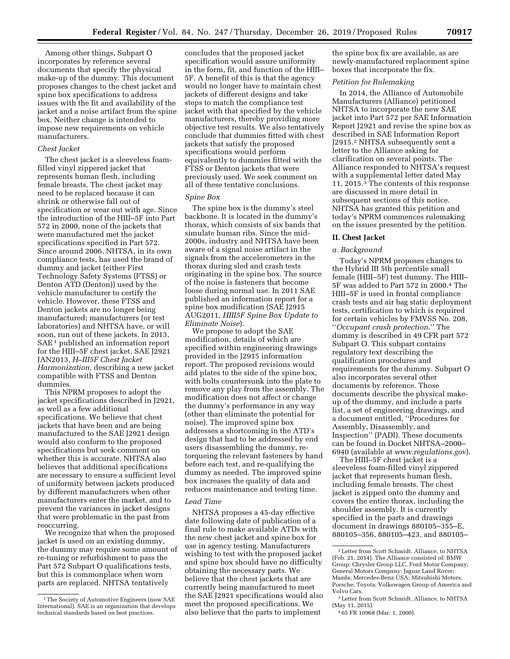Among other things, Subpart O incorporates by reference several documents that specify the physical make-up of the dummy. This document proposes changes to the chest jacket and spine box specifications to address issues with the fit and availability of the jacket and a noise artifact from the spine box. Neither change is intended to impose new requirements on vehicle manufacturers.

### *Chest Jacket*

The chest jacket is a sleeveless foamfilled vinyl zippered jacket that represents human flesh, including female breasts. The chest jacket may need to be replaced because it can shrink or otherwise fall out of specification or wear out with age. Since the introduction of the HIII–5F into Part 572 in 2000, none of the jackets that were manufactured met the jacket specifications specified in Part 572. Since around 2006, NHTSA, in its own compliance tests, has used the brand of dummy and jacket (either First Technology Safety Systems (FTSS) or Denton ATD (Denton)) used by the vehicle manufacturer to certify the vehicle. However, these FTSS and Denton jackets are no longer being manufactured; manufacturers (or test laboratories) and NHTSA have, or will soon, run out of these jackets. In 2013, SAE<sup>1</sup> published an information report for the HIII–5F chest jacket, SAE J2921 JAN2013, *H–III5F Chest Jacket Harmonization,* describing a new jacket compatible with FTSS and Denton dummies.

This NPRM proposes to adopt the jacket specifications described in J2921, as well as a few additional specifications. We believe that chest jackets that have been and are being manufactured to the SAE J2921 design would also conform to the proposed specifications but seek comment on whether this is accurate. NHTSA also believes that additional specifications are necessary to ensure a sufficient level of uniformity between jackets produced by different manufacturers when other manufacturers enter the market, and to prevent the variances in jacket designs that were problematic in the past from reoccurring.

We recognize that when the proposed jacket is used on an existing dummy, the dummy may require some amount of re-tuning or refurbishment to pass the Part 572 Subpart O qualifications tests, but this is commonplace when worn parts are replaced. NHTSA tentatively

concludes that the proposed jacket specification would assure uniformity in the form, fit, and function of the HIII– 5F. A benefit of this is that the agency would no longer have to maintain chest jackets of different designs and take steps to match the compliance test jacket with that specified by the vehicle manufacturers, thereby providing more objective test results. We also tentatively conclude that dummies fitted with chest jackets that satisfy the proposed specifications would perform equivalently to dummies fitted with the FTSS or Denton jackets that were previously used. We seek comment on all of these tentative conclusions.

## *Spine Box*

The spine box is the dummy's steel backbone. It is located in the dummy's thorax, which consists of six bands that simulate human ribs. Since the mid-2000s, industry and NHTSA have been aware of a signal noise artifact in the signals from the accelerometers in the thorax during sled and crash tests originating in the spine box. The source of the noise is fasteners that become loose during normal use. In 2011 SAE published an information report for a spine box modification (SAE J2915 AUG2011, *HIII5F Spine Box Update to Eliminate Noise*).

We propose to adopt the SAE modification, details of which are specified within engineering drawings provided in the J2915 information report. The proposed revisions would add plates to the side of the spine box, with bolts countersunk into the plate to remove any play from the assembly. The modification does not affect or change the dummy's performance in any way (other than eliminate the potential for noise). The improved spine box addresses a shortcoming in the ATD's design that had to be addressed by end users disassembling the dummy, retorqueing the relevant fasteners by hand before each test, and re-qualifying the dummy as needed. The improved spine box increases the quality of data and reduces maintenance and testing time.

### *Lead Time*

NHTSA proposes a 45-day effective date following date of publication of a final rule to make available ATDs with the new chest jacket and spine box for use in agency testing. Manufacturers wishing to test with the proposed jacket and spine box should have no difficulty obtaining the necessary parts. We believe that the chest jackets that are currently being manufactured to meet the SAE J2921 specifications would also meet the proposed specifications. We also believe that the parts to implement

the spine box fix are available, as are newly-manufactured replacement spine boxes that incorporate the fix.

### *Petition for Rulemaking*

In 2014, the Alliance of Automobile Manufacturers (Alliance) petitioned NHTSA to incorporate the new SAE jacket into Part 572 per SAE Information Report J2921 and revise the spine box as described in SAE Information Report J2915.2 NHTSA subsequently sent a letter to the Alliance asking for clarification on several points. The Alliance responded to NHTSA's request with a supplemental letter dated May 11, 2015.3 The contents of this response are discussed in more detail in subsequent sections of this notice. NHTSA has granted this petition and today's NPRM commences rulemaking on the issues presented by the petition.

### **II. Chest Jacket**

### *a. Background*

Today's NPRM proposes changes to the Hybrid III 5th percentile small female (HIII–5F) test dummy. The HIII– 5F was added to Part 572 in 2000.4 The HIII–5F is used in frontal compliance crash tests and air bag static deployment tests, certification to which is required for certain vehicles by FMVSS No. 208, ''*Occupant crash protection.*'' The dummy is described in 49 CFR part 572 Subpart O. This subpart contains regulatory text describing the qualification procedures and requirements for the dummy. Subpart O also incorporates several other documents by reference. Those documents describe the physical makeup of the dummy, and include a parts list, a set of engineering drawings, and a document entitled, ''Procedures for Assembly, Disassembly, and Inspection'' (PADI). These documents can be found in Docket NHTSA–2000– 6940 (available at *[www.regulations.gov](http://www.regulations.gov)*).

The HIII–5F chest jacket is a sleeveless foam-filled vinyl zippered jacket that represents human flesh, including female breasts. The chest jacket is zipped onto the dummy and covers the entire thorax, including the shoulder assembly. It is currently specified in the parts and drawings document in drawings 880105–355–E, 880105–356, 880105–423, and 880105–

<sup>1</sup>The Society of Automotive Engineers (now SAE International). SAE is an organization that develops technical standards based on best practices.

<sup>2</sup>Letter from Scott Schmidt, Alliance, to NHTSA (Feb. 21, 2014). The Alliance consisted of: BMW Group; Chrysler Group LLC, Ford Motor Company; General Motors Company; Jaguar Land Rover; Mazda; Mercedes-Benz USA; Mitsubishi Motors; Porsche; Toyota; Volkswagen Group of America and Volvo Cars.

<sup>3</sup>Letter from Scott Schmidt, Alliance, to NHTSA (May 11, 2015).

<sup>4</sup> 65 FR 10968 (Mar. 1, 2000).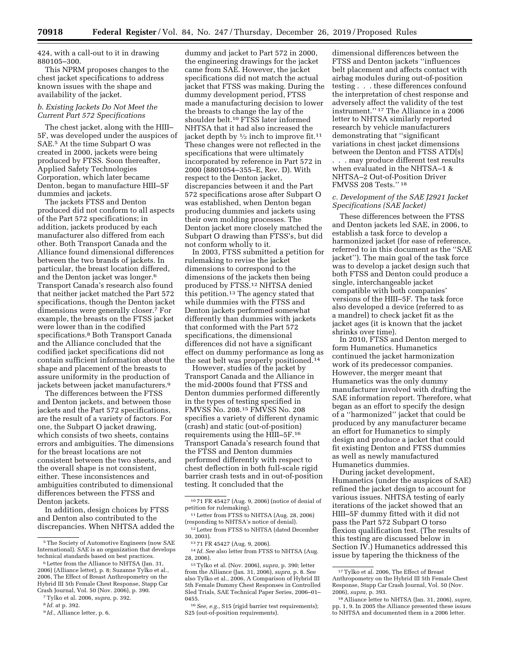424, with a call-out to it in drawing 880105–300.

This NPRM proposes changes to the chest jacket specifications to address known issues with the shape and availability of the jacket.

## *b. Existing Jackets Do Not Meet the Current Part 572 Specifications*

The chest jacket, along with the HIII– 5F, was developed under the auspices of SAE.5 At the time Subpart O was created in 2000, jackets were being produced by FTSS. Soon thereafter, Applied Safety Technologies Corporation, which later became Denton, began to manufacture HIII–5F dummies and jackets.

The jackets FTSS and Denton produced did not conform to all aspects of the Part 572 specifications; in addition, jackets produced by each manufacturer also differed from each other. Both Transport Canada and the Alliance found dimensional differences between the two brands of jackets. In particular, the breast location differed, and the Denton jacket was longer.6 Transport Canada's research also found that neither jacket matched the Part 572 specifications, though the Denton jacket dimensions were generally closer.7 For example, the breasts on the FTSS jacket were lower than in the codified specifications.8 Both Transport Canada and the Alliance concluded that the codified jacket specifications did not contain sufficient information about the shape and placement of the breasts to assure uniformity in the production of jackets between jacket manufacturers.9

The differences between the FTSS and Denton jackets, and between those jackets and the Part 572 specifications, are the result of a variety of factors. For one, the Subpart O jacket drawing, which consists of two sheets, contains errors and ambiguities. The dimensions for the breast locations are not consistent between the two sheets, and the overall shape is not consistent, either. These inconsistences and ambiguities contributed to dimensional differences between the FTSS and Denton jackets.

In addition, design choices by FTSS and Denton also contributed to the discrepancies. When NHTSA added the dummy and jacket to Part 572 in 2000, the engineering drawings for the jacket came from SAE. However, the jacket specifications did not match the actual jacket that FTSS was making. During the dummy development period, FTSS made a manufacturing decision to lower the breasts to change the lay of the shoulder belt.10 FTSS later informed NHTSA that it had also increased the jacket depth by  $\frac{1}{2}$  inch to improve fit.<sup>11</sup> These changes were not reflected in the specifications that were ultimately incorporated by reference in Part 572 in 2000 (8801054–355–E, Rev. D). With respect to the Denton jacket, discrepancies between it and the Part 572 specifications arose after Subpart O was established, when Denton began producing dummies and jackets using their own molding processes. The Denton jacket more closely matched the Subpart O drawing than FTSS's, but did not conform wholly to it.

In 2003, FTSS submitted a petition for rulemaking to revise the jacket dimensions to correspond to the dimensions of the jackets then being produced by FTSS.12 NHTSA denied this petition.13 The agency stated that while dummies with the FTSS and Denton jackets performed somewhat differently than dummies with jackets that conformed with the Part 572 specifications, the dimensional differences did not have a significant effect on dummy performance as long as the seat belt was properly positioned.<sup>14</sup>

However, studies of the jacket by Transport Canada and the Alliance in the mid-2000s found that FTSS and Denton dummies performed differently in the types of testing specified in FMVSS No. 208.15 FMVSS No. 208 specifies a variety of different dynamic (crash) and static (out-of-position) requirements using the HIII–5F.16 Transport Canada's research found that the FTSS and Denton dummies performed differently with respect to chest deflection in both full-scale rigid barrier crash tests and in out-of-position testing. It concluded that the

dimensional differences between the FTSS and Denton jackets ''influences belt placement and affects contact with airbag modules during out-of-position testing . . . these differences confound the interpretation of chest response and adversely affect the validity of the test instrument.'' 17 The Alliance in a 2006 letter to NHTSA similarly reported research by vehicle manufacturers demonstrating that ''significant variations in chest jacket dimensions between the Denton and FTSS ATD[s] . . . may produce different test results

when evaluated in the NHTSA–1 & NHTSA–2 Out-of-Position Driver FMVSS 208 Tests.'' 18

### *c. Development of the SAE J2921 Jacket Specifications (SAE Jacket)*

These differences between the FTSS and Denton jackets led SAE, in 2006, to establish a task force to develop a harmonized jacket (for ease of reference, referred to in this document as the ''SAE jacket''). The main goal of the task force was to develop a jacket design such that both FTSS and Denton could produce a single, interchangeable jacket compatible with both companies' versions of the HIII–5F. The task force also developed a device (referred to as a mandrel) to check jacket fit as the jacket ages (it is known that the jacket shrinks over time).

In 2010, FTSS and Denton merged to form Humanetics. Humanetics continued the jacket harmonization work of its predecessor companies. However, the merger meant that Humanetics was the only dummy manufacturer involved with drafting the SAE information report. Therefore, what began as an effort to specify the design of a ''harmonized'' jacket that could be produced by any manufacturer became an effort for Humanetics to simply design and produce a jacket that could fit existing Denton and FTSS dummies as well as newly manufactured Humanetics dummies.

During jacket development, Humanetics (under the auspices of SAE) refined the jacket design to account for various issues. NHTSA testing of early iterations of the jacket showed that an HIII–5F dummy fitted with it did not pass the Part 572 Subpart O torso flexion qualification test. (The results of this testing are discussed below in Section IV.) Humanetics addressed this issue by tapering the thickness of the

<sup>5</sup>The Society of Automotive Engineers (now SAE International). SAE is an organization that develops technical standards based on best practices.

<sup>6</sup>Letter from the Alliance to NHTSA (Jan. 31, 2006) (Alliance letter), p. 8; Suzanne Tylko et al., 2006, The Effect of Breast Anthropometry on the Hybrid III 5th Female Chest Response, Stapp Car Crash Journal, Vol. 50 (Nov. 2006), p. 390.

<sup>7</sup>Tylko et al. 2006, *supra,* p. 392.

<sup>8</sup> *Id.* at p. 392.

<sup>9</sup> *Id.,* Alliance letter, p. 6.

<sup>10</sup> 71 FR 45427 (Aug. 9, 2006) (notice of denial of petition for rulemaking).

<sup>11</sup>Letter from FTSS to NHTSA (Aug. 28, 2006) (responding to NHTSA's notice of denial).

<sup>&</sup>lt;sup>12</sup> Letter from FTSS to NHTSA (dated December 30, 2003).

<sup>13</sup> 71 FR 45427 (Aug. 9, 2006).

<sup>14</sup> *Id. See* also letter from FTSS to NHTSA (Aug. 28, 2006).

<sup>15</sup>Tylko et al. (Nov. 2006), *supra,* p. 390; letter from the Alliance (Jan. 31, 2006), *supra,* p. 8. See also Tylko et al., 2006, A Comparison of Hybrid III 5th Female Dummy Chest Responses in Controlled Sled Trials, SAE Technical Paper Series, 2006–01– 0455.

<sup>16</sup>*See, e.g.,* S15 (rigid barrier test requirements); S25 (out-of-position requirements).

<sup>17</sup>Tylko et al. 2006, The Effect of Breast Anthropometry on the Hybrid III 5th Female Chest Response, Stapp Car Crash Journal, Vol. 50 (Nov. 2006), *supra,* p. 393.

<sup>18</sup>Alliance letter to NHTSA (Jan. 31, 2006), *supra,*  pp. 1, 9. In 2005 the Alliance presented these issues to NHTSA and documented them in a 2006 letter.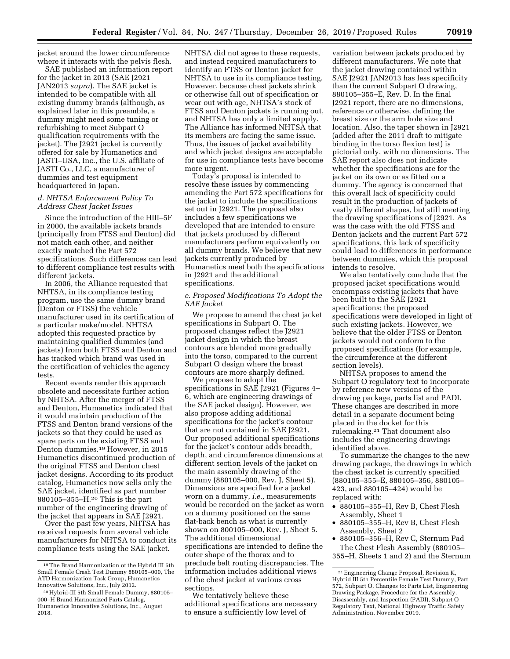jacket around the lower circumference where it interacts with the pelvis flesh.

SAE published an information report for the jacket in 2013 (SAE J2921 JAN2013 *supra*). The SAE jacket is intended to be compatible with all existing dummy brands (although, as explained later in this preamble, a dummy might need some tuning or refurbishing to meet Subpart O qualification requirements with the jacket). The J2921 jacket is currently offered for sale by Humanetics and JASTI–USA, Inc., the U.S. affiliate of JASTI Co., LLC, a manufacturer of dummies and test equipment headquartered in Japan.

## *d. NHTSA Enforcement Policy To Address Chest Jacket Issues*

Since the introduction of the HIII–5F in 2000, the available jackets brands (principally from FTSS and Denton) did not match each other, and neither exactly matched the Part 572 specifications. Such differences can lead to different compliance test results with different jackets.

In 2006, the Alliance requested that NHTSA, in its compliance testing program, use the same dummy brand (Denton or FTSS) the vehicle manufacturer used in its certification of a particular make/model. NHTSA adopted this requested practice by maintaining qualified dummies (and jackets) from both FTSS and Denton and has tracked which brand was used in the certification of vehicles the agency tests.

Recent events render this approach obsolete and necessitate further action by NHTSA. After the merger of FTSS and Denton, Humanetics indicated that it would maintain production of the FTSS and Denton brand versions of the jackets so that they could be used as spare parts on the existing FTSS and Denton dummies.19 However, in 2015 Humanetics discontinued production of the original FTSS and Denton chest jacket designs. According to its product catalog, Humanetics now sells only the SAE jacket, identified as part number 880105–355–H.20 This is the part number of the engineering drawing of the jacket that appears in SAE J2921.

Over the past few years, NHTSA has received requests from several vehicle manufacturers for NHTSA to conduct its compliance tests using the SAE jacket.

NHTSA did not agree to these requests, and instead required manufacturers to identify an FTSS or Denton jacket for NHTSA to use in its compliance testing. However, because chest jackets shrink or otherwise fall out of specification or wear out with age, NHTSA's stock of FTSS and Denton jackets is running out, and NHTSA has only a limited supply. The Alliance has informed NHTSA that its members are facing the same issue. Thus, the issues of jacket availability and which jacket designs are acceptable for use in compliance tests have become more urgent.

Today's proposal is intended to resolve these issues by commencing amending the Part 572 specifications for the jacket to include the specifications set out in J2921. The proposal also includes a few specifications we developed that are intended to ensure that jackets produced by different manufacturers perform equivalently on all dummy brands. We believe that new jackets currently produced by Humanetics meet both the specifications in J2921 and the additional specifications.

### *e. Proposed Modifications To Adopt the SAE Jacket*

We propose to amend the chest jacket specifications in Subpart O. The proposed changes reflect the J2921 jacket design in which the breast contours are blended more gradually into the torso, compared to the current Subpart O design where the breast contours are more sharply defined.

We propose to adopt the specifications in SAE J2921 (Figures 4– 6, which are engineering drawings of the SAE jacket design). However, we also propose adding additional specifications for the jacket's contour that are not contained in SAE J2921. Our proposed additional specifications for the jacket's contour adds breadth, depth, and circumference dimensions at different section levels of the jacket on the main assembly drawing of the dummy (880105–000, Rev. J, Sheet 5). Dimensions are specified for a jacket worn on a dummy, *i.e.,* measurements would be recorded on the jacket as worn on a dummy positioned on the same flat-back bench as what is currently shown on 800105–000, Rev. J, Sheet 5. The additional dimensional specifications are intended to define the outer shape of the thorax and to preclude belt routing discrepancies. The information includes additional views of the chest jacket at various cross sections.

We tentatively believe these additional specifications are necessary to ensure a sufficiently low level of

variation between jackets produced by different manufacturers. We note that the jacket drawing contained within SAE J2921 JAN2013 has less specificity than the current Subpart O drawing, 880105–355–E, Rev. D. In the final J2921 report, there are no dimensions, reference or otherwise, defining the breast size or the arm hole size and location. Also, the taper shown in J2921 (added after the 2011 draft to mitigate binding in the torso flexion test) is pictorial only, with no dimensions. The SAE report also does not indicate whether the specifications are for the jacket on its own or as fitted on a dummy. The agency is concerned that this overall lack of specificity could result in the production of jackets of vastly different shapes, but still meeting the drawing specifications of J2921. As was the case with the old FTSS and Denton jackets and the current Part 572 specifications, this lack of specificity could lead to differences in performance between dummies, which this proposal intends to resolve.

We also tentatively conclude that the proposed jacket specifications would encompass existing jackets that have been built to the SAE J2921 specifications; the proposed specifications were developed in light of such existing jackets. However, we believe that the older FTSS or Denton jackets would not conform to the proposed specifications (for example, the circumference at the different section levels).

NHTSA proposes to amend the Subpart O regulatory text to incorporate by reference new versions of the drawing package, parts list and PADI. These changes are described in more detail in a separate document being placed in the docket for this rulemaking.21 That document also includes the engineering drawings identified above.

To summarize the changes to the new drawing package, the drawings in which the chest jacket is currently specified (880105–355–E, 880105–356, 880105– 423, and 880105–424) would be replaced with:

- 880105–355–H, Rev B, Chest Flesh Assembly, Sheet 1
- 880105–355–H, Rev B, Chest Flesh Assembly, Sheet 2
- 880105–356–H, Rev C, Sternum Pad The Chest Flesh Assembly (880105– 355–H, Sheets 1 and 2) and the Sternum

<sup>19</sup>The Brand Harmonization of the Hybrid III 5th Small Female Crash Test Dummy 880105–000, The ATD Harmonization Task Group, Humanetics Innovative Solutions, Inc., July 2012.

<sup>20</sup>Hybrid-III 5th Small Female Dummy, 880105– 000–H Brand Harmonized Parts Catalog, Humanetics Innovative Solutions, Inc., August 2018.

<sup>21</sup>Engineering Change Proposal, Revision K, Hybrid III 5th Percentile Female Test Dummy, Part 572, Subpart O, Changes to: Parts List, Engineering Drawing Package, Procedure for the Assembly, Disassembly, and Inspection (PADI), Subpart O Regulatory Text, National Highway Traffic Safety Administration, November 2019.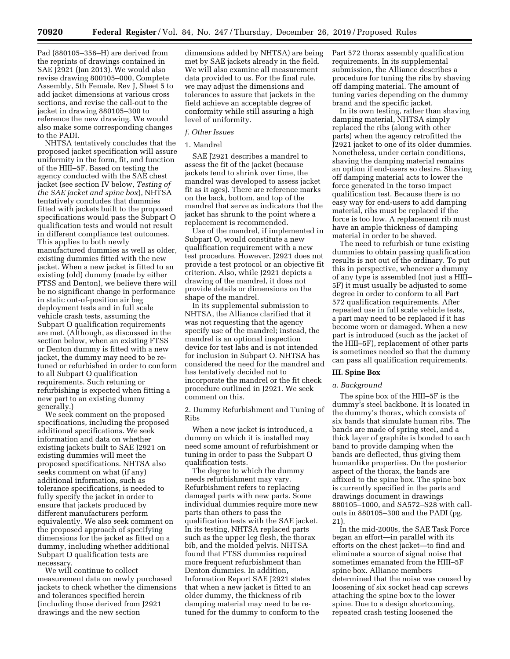Pad (880105–356–H) are derived from the reprints of drawings contained in SAE J2921 (Jan 2013). We would also revise drawing 800105–000, Complete Assembly, 5th Female, Rev J, Sheet 5 to add jacket dimensions at various cross sections, and revise the call-out to the jacket in drawing 880105–300 to reference the new drawing. We would also make some corresponding changes to the PADI.

NHTSA tentatively concludes that the proposed jacket specification will assure uniformity in the form, fit, and function of the HIII–5F. Based on testing the agency conducted with the SAE chest jacket (see section IV below, *Testing of the SAE jacket and spine box*), NHTSA tentatively concludes that dummies fitted with jackets built to the proposed specifications would pass the Subpart O qualification tests and would not result in different compliance test outcomes. This applies to both newly manufactured dummies as well as older, existing dummies fitted with the new jacket. When a new jacket is fitted to an existing (old) dummy (made by either FTSS and Denton), we believe there will be no significant change in performance in static out-of-position air bag deployment tests and in full scale vehicle crash tests, assuming the Subpart O qualification requirements are met. (Although, as discussed in the section below, when an existing FTSS or Denton dummy is fitted with a new jacket, the dummy may need to be retuned or refurbished in order to conform to all Subpart O qualification requirements. Such retuning or refurbishing is expected when fitting a new part to an existing dummy generally.)

We seek comment on the proposed specifications, including the proposed additional specifications. We seek information and data on whether existing jackets built to SAE J2921 on existing dummies will meet the proposed specifications. NHTSA also seeks comment on what (if any) additional information, such as tolerance specifications, is needed to fully specify the jacket in order to ensure that jackets produced by different manufacturers perform equivalently. We also seek comment on the proposed approach of specifying dimensions for the jacket as fitted on a dummy, including whether additional Subpart O qualification tests are necessary.

We will continue to collect measurement data on newly purchased jackets to check whether the dimensions and tolerances specified herein (including those derived from J2921 drawings and the new section

dimensions added by NHTSA) are being met by SAE jackets already in the field. We will also examine all measurement data provided to us. For the final rule, we may adjust the dimensions and tolerances to assure that jackets in the field achieve an acceptable degree of conformity while still assuring a high level of uniformity.

### *f. Other Issues*

### 1. Mandrel

SAE J2921 describes a mandrel to assess the fit of the jacket (because jackets tend to shrink over time, the mandrel was developed to assess jacket fit as it ages). There are reference marks on the back, bottom, and top of the mandrel that serve as indicators that the jacket has shrunk to the point where a replacement is recommended.

Use of the mandrel, if implemented in Subpart O, would constitute a new qualification requirement with a new test procedure. However, J2921 does not provide a test protocol or an objective fit criterion. Also, while J2921 depicts a drawing of the mandrel, it does not provide details or dimensions on the shape of the mandrel.

In its supplemental submission to NHTSA, the Alliance clarified that it was not requesting that the agency specify use of the mandrel; instead, the mandrel is an optional inspection device for test labs and is not intended for inclusion in Subpart O. NHTSA has considered the need for the mandrel and has tentatively decided not to incorporate the mandrel or the fit check procedure outlined in J2921. We seek comment on this.

2. Dummy Refurbishment and Tuning of Ribs

When a new jacket is introduced, a dummy on which it is installed may need some amount of refurbishment or tuning in order to pass the Subpart O qualification tests.

The degree to which the dummy needs refurbishment may vary. Refurbishment refers to replacing damaged parts with new parts. Some individual dummies require more new parts than others to pass the qualification tests with the SAE jacket. In its testing, NHTSA replaced parts such as the upper leg flesh, the thorax bib, and the molded pelvis. NHTSA found that FTSS dummies required more frequent refurbishment than Denton dummies. In addition, Information Report SAE J2921 states that when a new jacket is fitted to an older dummy, the thickness of rib damping material may need to be retuned for the dummy to conform to the Part 572 thorax assembly qualification requirements. In its supplemental submission, the Alliance describes a procedure for tuning the ribs by shaving off damping material. The amount of tuning varies depending on the dummy brand and the specific jacket.

In its own testing, rather than shaving damping material, NHTSA simply replaced the ribs (along with other parts) when the agency retrofitted the J2921 jacket to one of its older dummies. Nonetheless, under certain conditions, shaving the damping material remains an option if end-users so desire. Shaving off damping material acts to lower the force generated in the torso impact qualification test. Because there is no easy way for end-users to add damping material, ribs must be replaced if the force is too low. A replacement rib must have an ample thickness of damping material in order to be shaved.

The need to refurbish or tune existing dummies to obtain passing qualification results is not out of the ordinary. To put this in perspective, whenever a dummy of any type is assembled (not just a HIII– 5F) it must usually be adjusted to some degree in order to conform to all Part 572 qualification requirements. After repeated use in full scale vehicle tests, a part may need to be replaced if it has become worn or damaged. When a new part is introduced (such as the jacket of the HIII–5F), replacement of other parts is sometimes needed so that the dummy can pass all qualification requirements.

#### **III. Spine Box**

#### *a. Background*

The spine box of the HIII–5F is the dummy's steel backbone. It is located in the dummy's thorax, which consists of six bands that simulate human ribs. The bands are made of spring steel, and a thick layer of graphite is bonded to each band to provide damping when the bands are deflected, thus giving them humanlike properties. On the posterior aspect of the thorax, the bands are affixed to the spine box. The spine box is currently specified in the parts and drawings document in drawings 880105–1000, and SA572–S28 with callouts in 880105–300 and the PADI (pg. 21).

In the mid-2000s, the SAE Task Force began an effort—in parallel with its efforts on the chest jacket—to find and eliminate a source of signal noise that sometimes emanated from the HIII–5F spine box. Alliance members determined that the noise was caused by loosening of six socket head cap screws attaching the spine box to the lower spine. Due to a design shortcoming, repeated crash testing loosened the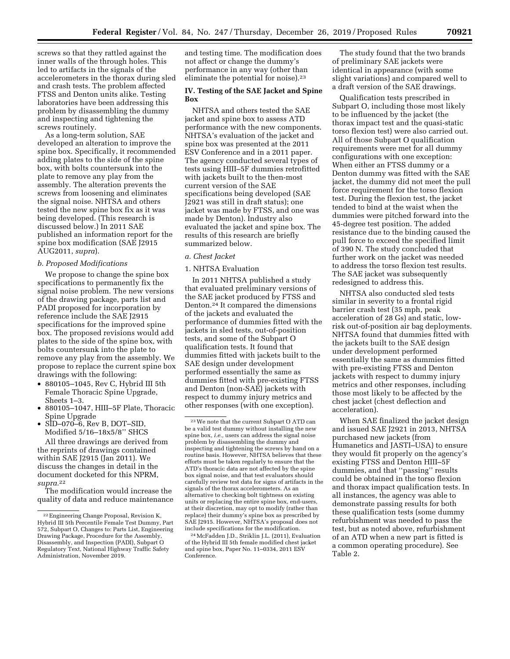screws so that they rattled against the inner walls of the through holes. This led to artifacts in the signals of the accelerometers in the thorax during sled and crash tests. The problem affected FTSS and Denton units alike. Testing laboratories have been addressing this problem by disassembling the dummy and inspecting and tightening the screws routinely.

As a long-term solution, SAE developed an alteration to improve the spine box. Specifically, it recommended adding plates to the side of the spine box, with bolts countersunk into the plate to remove any play from the assembly. The alteration prevents the screws from loosening and eliminates the signal noise. NHTSA and others tested the new spine box fix as it was being developed. (This research is discussed below.) In 2011 SAE published an information report for the spine box modification (SAE J2915 AUG2011, *supra*).

### *b. Proposed Modifications*

We propose to change the spine box specifications to permanently fix the signal noise problem. The new versions of the drawing package, parts list and PADI proposed for incorporation by reference include the SAE J2915 specifications for the improved spine box. The proposed revisions would add plates to the side of the spine box, with bolts countersunk into the plate to remove any play from the assembly. We propose to replace the current spine box drawings with the following:

- 880105–1045, Rev C, Hybrid III 5th Female Thoracic Spine Upgrade, Sheets 1–3.
- 880105–1047, HIII–5F Plate, Thoracic Spine Upgrade
- SID–070–6, Rev B, DOT–SID, Modified 5/16–18x5/8'' SHCS

All three drawings are derived from the reprints of drawings contained within SAE J2915 (Jan 2011). We discuss the changes in detail in the document docketed for this NPRM, *supra.*22

The modification would increase the quality of data and reduce maintenance

and testing time. The modification does not affect or change the dummy's performance in any way (other than eliminate the potential for noise).<sup>23</sup>

# **IV. Testing of the SAE Jacket and Spine Box**

NHTSA and others tested the SAE jacket and spine box to assess ATD performance with the new components. NHTSA's evaluation of the jacket and spine box was presented at the 2011 ESV Conference and in a 2011 paper. The agency conducted several types of tests using HIII–5F dummies retrofitted with jackets built to the then-most current version of the SAE specifications being developed (SAE J2921 was still in draft status); one jacket was made by FTSS, and one was made by Denton). Industry also evaluated the jacket and spine box. The results of this research are briefly summarized below.

## *a. Chest Jacket*

### 1. NHTSA Evaluation

In 2011 NHTSA published a study that evaluated preliminary versions of the SAE jacket produced by FTSS and Denton.24 It compared the dimensions of the jackets and evaluated the performance of dummies fitted with the jackets in sled tests, out-of-position tests, and some of the Subpart O qualification tests. It found that dummies fitted with jackets built to the SAE design under development performed essentially the same as dummies fitted with pre-existing FTSS and Denton (non-SAE) jackets with respect to dummy injury metrics and other responses (with one exception).

24McFadden J.D., Striklin J.L. (2011), Evaluation of the Hybrid III 5th female modified chest jacket and spine box, Paper No. 11–0334, 2011 ESV Conference.

The study found that the two brands of preliminary SAE jackets were identical in appearance (with some slight variations) and compared well to a draft version of the SAE drawings.

Qualification tests prescribed in Subpart O, including those most likely to be influenced by the jacket (the thorax impact test and the quasi-static torso flexion test) were also carried out. All of those Subpart O qualification requirements were met for all dummy configurations with one exception: When either an FTSS dummy or a Denton dummy was fitted with the SAE jacket, the dummy did not meet the pull force requirement for the torso flexion test. During the flexion test, the jacket tended to bind at the waist when the dummies were pitched forward into the 45-degree test position. The added resistance due to the binding caused the pull force to exceed the specified limit of 390 N. The study concluded that further work on the jacket was needed to address the torso flexion test results. The SAE jacket was subsequently redesigned to address this.

NHTSA also conducted sled tests similar in severity to a frontal rigid barrier crash test (35 mph, peak acceleration of 28 Gs) and static, lowrisk out-of-position air bag deployments. NHTSA found that dummies fitted with the jackets built to the SAE design under development performed essentially the same as dummies fitted with pre-existing FTSS and Denton jackets with respect to dummy injury metrics and other responses, including those most likely to be affected by the chest jacket (chest deflection and acceleration).

When SAE finalized the jacket design and issued SAE J2921 in 2013, NHTSA purchased new jackets (from Humanetics and JASTI–USA) to ensure they would fit properly on the agency's existing FTSS and Denton HIII–5F dummies, and that ''passing'' results could be obtained in the torso flexion and thorax impact qualification tests. In all instances, the agency was able to demonstrate passing results for both these qualification tests (some dummy refurbishment was needed to pass the test, but as noted above, refurbishment of an ATD when a new part is fitted is a common operating procedure). See Table 2.

<sup>22</sup>Engineering Change Proposal, Revision K, Hybrid III 5th Percentile Female Test Dummy, Part 572, Subpart O, Changes to: Parts List, Engineering Drawing Package, Procedure for the Assembly, Disassembly, and Inspection (PADI), Subpart O Regulatory Text, National Highway Traffic Safety Administration, November 2019.

<sup>23</sup>We note that the current Subpart O ATD can be a valid test dummy without installing the new spine box, *i.e.,* users can address the signal noise problem by disassembling the dummy and inspecting and tightening the screws by hand on a routine basis. However, NHTSA believes that these efforts must be taken regularly to ensure that the ATD's thoracic data are not affected by the spine box signal noise, and that test evaluators should carefully review test data for signs of artifacts in the signals of the thorax accelerometers. As an alternative to checking bolt tightness on existing units or replacing the entire spine box, end-users, at their discretion, may opt to modify (rather than replace) their dummy's spine box as prescribed by SAE J2915. However, NHTSA's proposal does not include specifications for the modification.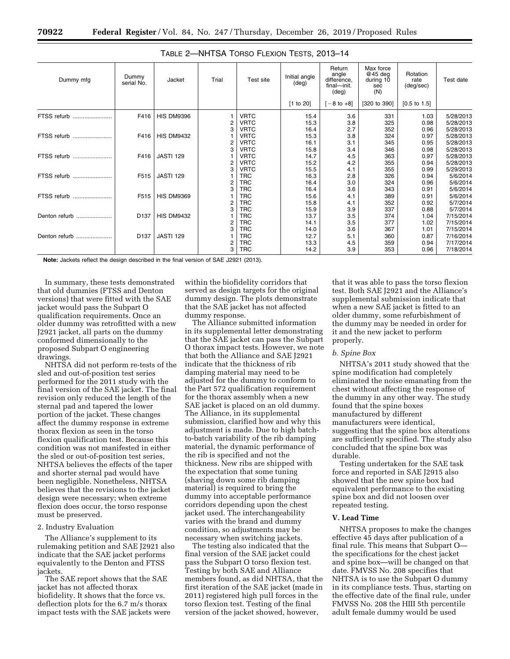| Dummy mfg     | Dummy<br>serial No. | Jacket            | Trial | Test site   | Initial angle<br>$(\text{deg})$ | Return<br>angle<br>difference.<br>final-init.<br>$(\text{deg})$ | Max force<br>@45 deg<br>during 10<br>sec<br>(N) | Rotation<br>rate<br>(deg/sec) | Test date |
|---------------|---------------------|-------------------|-------|-------------|---------------------------------|-----------------------------------------------------------------|-------------------------------------------------|-------------------------------|-----------|
|               |                     |                   |       |             | [1 to 20]                       | $-8$ to $+8$ ]                                                  | [320 to 390]                                    | $[0.5 \text{ to } 1.5]$       |           |
| FTSS refurb   | F416                | <b>HIS DM9396</b> |       | <b>VRTC</b> | 15.4                            | 3.6                                                             | 331                                             | 1.03                          | 5/28/2013 |
|               |                     |                   | 2     | <b>VRTC</b> | 15.3                            | 3.8                                                             | 325                                             | 0.98                          | 5/28/2013 |
|               |                     |                   | 3     | <b>VRTC</b> | 16.4                            | 2.7                                                             | 352                                             | 0.96                          | 5/28/2013 |
| FTSS refurb   | F416                | <b>HIS DM9432</b> |       | <b>VRTC</b> | 15.3                            | 3.8                                                             | 324                                             | 0.97                          | 5/28/2013 |
|               |                     |                   | 2     | <b>VRTC</b> | 16.1                            | 3.1                                                             | 345                                             | 0.95                          | 5/28/2013 |
|               |                     |                   | 3     | <b>VRTC</b> | 15.8                            | 3.4                                                             | 346                                             | 0.98                          | 5/28/2013 |
| FTSS refurb   | F416                | <b>JASTI 129</b>  |       | <b>VRTC</b> | 14.7                            | 4.5                                                             | 363                                             | 0.97                          | 5/28/2013 |
|               |                     |                   | 2     | <b>VRTC</b> | 15.2                            | 4.2                                                             | 355                                             | 0.94                          | 5/28/2013 |
|               |                     |                   | 3     | <b>VRTC</b> | 15.5                            | 4.1                                                             | 355                                             | 0.99                          | 5/29/2013 |
| FTSS refurb   | F515                | <b>JASTI 129</b>  |       | <b>TRC</b>  | 16.3                            | 2.8                                                             | 326                                             | 0.94                          | 5/6/2014  |
|               |                     |                   | 2     | <b>TRC</b>  | 16.4                            | 3.0                                                             | 324                                             | 0.96                          | 5/6/2014  |
|               |                     |                   | 3     | <b>TRC</b>  | 16.4                            | 3.6                                                             | 343                                             | 0.91                          | 5/6/2014  |
| FTSS refurb   | F515                | <b>HIS DM9369</b> |       | <b>TRC</b>  | 15.6                            | 4.1                                                             | 389                                             | 0.91                          | 5/6/2014  |
|               |                     |                   | 2     | <b>TRC</b>  | 15.8                            | 4.1                                                             | 352                                             | 0.92                          | 5/7/2014  |
|               |                     |                   | 3     | <b>TRC</b>  | 15.9                            | 3.9                                                             | 337                                             | 0.88                          | 5/7/2014  |
| Denton refurb | D <sub>137</sub>    | <b>HIS DM9432</b> |       | <b>TRC</b>  | 13.7                            | 3.5                                                             | 374                                             | 1.04                          | 7/15/2014 |
|               |                     |                   | 2     | <b>TRC</b>  | 14.1                            | 3.5                                                             | 377                                             | 1.02                          | 7/15/2014 |
|               |                     |                   | 3     | <b>TRC</b>  | 14.0                            | 3.6                                                             | 367                                             | 1.01                          | 7/15/2014 |
| Denton refurb | D <sub>137</sub>    | <b>JASTI 129</b>  |       | <b>TRC</b>  | 12.7                            | 5.1                                                             | 360                                             | 0.87                          | 7/16/2014 |
|               |                     |                   | 2     | <b>TRC</b>  | 13.3                            | 4.5                                                             | 359                                             | 0.94                          | 7/17/2014 |
|               |                     |                   | 3     | <b>TRC</b>  | 14.2                            | 3.9                                                             | 353                                             | 0.96                          | 7/18/2014 |

**Note:** Jackets reflect the design described in the final version of SAE J2921 (2013).

In summary, these tests demonstrated that old dummies (FTSS and Denton versions) that were fitted with the SAE jacket would pass the Subpart O qualification requirements. Once an older dummy was retrofitted with a new J2921 jacket, all parts on the dummy conformed dimensionally to the proposed Subpart O engineering drawings.

NHTSA did not perform re-tests of the sled and out-of-position test series performed for the 2011 study with the final version of the SAE jacket. The final revision only reduced the length of the sternal pad and tapered the lower portion of the jacket. These changes affect the dummy response in extreme thorax flexion as seen in the torso flexion qualification test. Because this condition was not manifested in either the sled or out-of-position test series, NHTSA believes the effects of the taper and shorter sternal pad would have been negligible. Nonetheless, NHTSA believes that the revisions to the jacket design were necessary; when extreme flexion does occur, the torso response must be preserved.

### 2. Industry Evaluation

The Alliance's supplement to its rulemaking petition and SAE J2921 also indicate that the SAE jacket performs equivalently to the Denton and FTSS jackets.

The SAE report shows that the SAE jacket has not affected thorax biofidelity. It shows that the force vs. deflection plots for the 6.7 m/s thorax impact tests with the SAE jackets were within the biofidelity corridors that served as design targets for the original dummy design. The plots demonstrate that the SAE jacket has not affected dummy response.

The Alliance submitted information in its supplemental letter demonstrating that the SAE jacket can pass the Subpart O thorax impact tests. However, we note that both the Alliance and SAE J2921 indicate that the thickness of rib damping material may need to be adjusted for the dummy to conform to the Part 572 qualification requirement for the thorax assembly when a new SAE jacket is placed on an old dummy. The Alliance, in its supplemental submission, clarified how and why this adjustment is made. Due to high batchto-batch variability of the rib damping material, the dynamic performance of the rib is specified and not the thickness. New ribs are shipped with the expectation that some tuning (shaving down some rib damping material) is required to bring the dummy into acceptable performance corridors depending upon the chest jacket used. The interchangeability varies with the brand and dummy condition, so adjustments may be necessary when switching jackets.

The testing also indicated that the final version of the SAE jacket could pass the Subpart O torso flexion test. Testing by both SAE and Alliance members found, as did NHTSA, that the first iteration of the SAE jacket (made in 2011) registered high pull forces in the torso flexion test. Testing of the final version of the jacket showed, however,

that it was able to pass the torso flexion test. Both SAE J2921 and the Alliance's supplemental submission indicate that when a new SAE jacket is fitted to an older dummy, some refurbishment of the dummy may be needed in order for it and the new jacket to perform properly.

### *b. Spine Box*

NHTSA's 2011 study showed that the spine modification had completely eliminated the noise emanating from the chest without affecting the response of the dummy in any other way. The study found that the spine boxes manufactured by different manufacturers were identical, suggesting that the spine box alterations are sufficiently specified. The study also concluded that the spine box was durable.

Testing undertaken for the SAE task force and reported in SAE J2915 also showed that the new spine box had equivalent performance to the existing spine box and did not loosen over repeated testing.

#### **V. Lead Time**

NHTSA proposes to make the changes effective 45 days after publication of a final rule. This means that Subpart O the specifications for the chest jacket and spine box—will be changed on that date. FMVSS No. 208 specifies that NHTSA is to use the Subpart O dummy in its compliance tests. Thus, starting on the effective date of the final rule, under FMVSS No. 208 the HIII 5th percentile adult female dummy would be used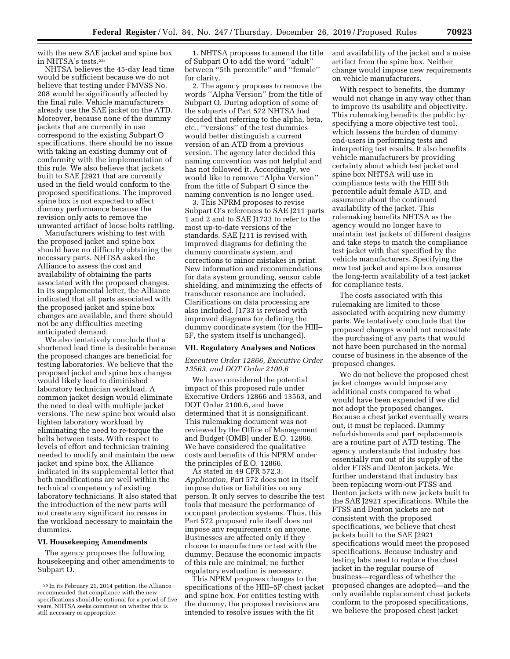with the new SAE jacket and spine box in NHTSA's tests.25

NHTSA believes the 45-day lead time would be sufficient because we do not believe that testing under FMVSS No. 208 would be significantly affected by the final rule. Vehicle manufacturers already use the SAE jacket on the ATD. Moreover, because none of the dummy jackets that are currently in use correspond to the existing Subpart O specifications, there should be no issue with taking an existing dummy out of conformity with the implementation of this rule. We also believe that jackets built to SAE J2921 that are currently used in the field would conform to the proposed specifications. The improved spine box is not expected to affect dummy performance because the revision only acts to remove the unwanted artifact of loose bolts rattling.

Manufacturers wishing to test with the proposed jacket and spine box should have no difficulty obtaining the necessary parts. NHTSA asked the Alliance to assess the cost and availability of obtaining the parts associated with the proposed changes. In its supplemental letter, the Alliance indicated that all parts associated with the proposed jacket and spine box changes are available, and there should not be any difficulties meeting anticipated demand.

We also tentatively conclude that a shortened lead time is desirable because the proposed changes are beneficial for testing laboratories. We believe that the proposed jacket and spine box changes would likely lead to diminished laboratory technician workload. A common jacket design would eliminate the need to deal with multiple jacket versions. The new spine box would also lighten laboratory workload by eliminating the need to re-torque the bolts between tests. With respect to levels of effort and technician training needed to modify and maintain the new jacket and spine box, the Alliance indicated in its supplemental letter that both modifications are well within the technical competency of existing laboratory technicians. It also stated that the introduction of the new parts will not create any significant increases in the workload necessary to maintain the dummies.

#### **VI. Housekeeping Amendments**

The agency proposes the following housekeeping and other amendments to Subpart O.

1. NHTSA proposes to amend the title of Subpart O to add the word ''adult'' between ''5th percentile'' and ''female'' for clarity.

2. The agency proposes to remove the words ''Alpha Version'' from the title of Subpart O. During adoption of some of the subparts of Part 572 NHTSA had decided that referring to the alpha, beta, etc., ''versions'' of the test dummies would better distinguish a current version of an ATD from a previous version. The agency later decided this naming convention was not helpful and has not followed it. Accordingly, we would like to remove ''Alpha Version'' from the title of Subpart O since the naming convention is no longer used.

3. This NPRM proposes to revise Subpart O's references to SAE J211 parts 1 and 2 and to SAE J1733 to refer to the most up-to-date versions of the standards. SAE J211 is revised with improved diagrams for defining the dummy coordinate system, and corrections to minor mistakes in print. New information and recommendations for data system grounding, sensor cable shielding, and minimizing the effects of transducer resonance are included. Clarifications on data processing are also included. J1733 is revised with improved diagrams for defining the dummy coordinate system (for the HIII– 5F, the system itself is unchanged).

#### **VII. Regulatory Analyses and Notices**

# *Executive Order 12866, Executive Order 13563, and DOT Order 2100.6*

We have considered the potential impact of this proposed rule under Executive Orders 12866 and 13563, and DOT Order 2100.6, and have determined that it is nonsignificant. This rulemaking document was not reviewed by the Office of Management and Budget (OMB) under E.O. 12866. We have considered the qualitative costs and benefits of this NPRM under the principles of E.O. 12866.

As stated in 49 CFR 572.3, *Application,* Part 572 does not in itself impose duties or liabilities on any person. It only serves to describe the test tools that measure the performance of occupant protection systems. Thus, this Part 572 proposed rule itself does not impose any requirements on anyone. Businesses are affected only if they choose to manufacture or test with the dummy. Because the economic impacts of this rule are minimal, no further regulatory evaluation is necessary.

This NPRM proposes changes to the specifications of the HIII–5F chest jacket and spine box. For entities testing with the dummy, the proposed revisions are intended to resolve issues with the fit

and availability of the jacket and a noise artifact from the spine box. Neither change would impose new requirements on vehicle manufacturers.

With respect to benefits, the dummy would not change in any way other than to improve its usability and objectivity. This rulemaking benefits the public by specifying a more objective test tool, which lessens the burden of dummy end-users in performing tests and interpreting test results. It also benefits vehicle manufacturers by providing certainty about which test jacket and spine box NHTSA will use in compliance tests with the HIII 5th percentile adult female ATD, and assurance about the continued availability of the jacket. This rulemaking benefits NHTSA as the agency would no longer have to maintain test jackets of different designs and take steps to match the compliance test jacket with that specified by the vehicle manufacturers. Specifying the new test jacket and spine box ensures the long-term availability of a test jacket for compliance tests.

The costs associated with this rulemaking are limited to those associated with acquiring new dummy parts. We tentatively conclude that the proposed changes would not necessitate the purchasing of any parts that would not have been purchased in the normal course of business in the absence of the proposed changes.

We do not believe the proposed chest jacket changes would impose any additional costs compared to what would have been expended if we did not adopt the proposed changes. Because a chest jacket eventually wears out, it must be replaced. Dummy refurbishments and part replacements are a routine part of ATD testing. The agency understands that industry has essentially run out of its supply of the older FTSS and Denton jackets. We further understand that industry has been replacing worn-out FTSS and Denton jackets with new jackets built to the SAE J2921 specifications. While the FTSS and Denton jackets are not consistent with the proposed specifications, we believe that chest jackets built to the SAE J2921 specifications would meet the proposed specifications. Because industry and testing labs need to replace the chest jacket in the regular course of business—regardless of whether the proposed changes are adopted—and the only available replacement chest jackets conform to the proposed specifications, we believe the proposed chest jacket

<sup>25</sup> In its February 21, 2014 petition, the Alliance recommended that compliance with the new specifications should be optional for a period of five years. NHTSA seeks comment on whether this is still necessary or appropriate.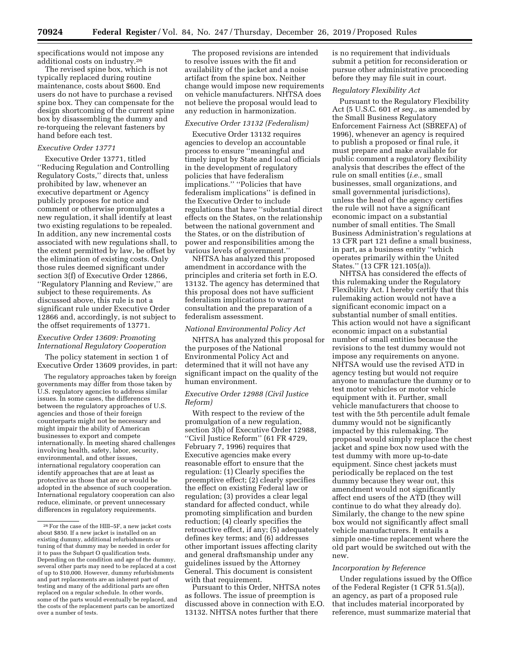specifications would not impose any additional costs on industry.26

The revised spine box, which is not typically replaced during routine maintenance, costs about \$600. End users do not have to purchase a revised spine box. They can compensate for the design shortcoming of the current spine box by disassembling the dummy and re-torqueing the relevant fasteners by hand before each test.

### *Executive Order 13771*

Executive Order 13771, titled ''Reducing Regulation and Controlling Regulatory Costs,'' directs that, unless prohibited by law, whenever an executive department or Agency publicly proposes for notice and comment or otherwise promulgates a new regulation, it shall identify at least two existing regulations to be repealed. In addition, any new incremental costs associated with new regulations shall, to the extent permitted by law, be offset by the elimination of existing costs. Only those rules deemed significant under section 3(f) of Executive Order 12866, ''Regulatory Planning and Review,'' are subject to these requirements. As discussed above, this rule is not a significant rule under Executive Order 12866 and, accordingly, is not subject to the offset requirements of 13771.

# *Executive Order 13609: Promoting International Regulatory Cooperation*

The policy statement in section 1 of Executive Order 13609 provides, in part:

The regulatory approaches taken by foreign governments may differ from those taken by U.S. regulatory agencies to address similar issues. In some cases, the differences between the regulatory approaches of U.S. agencies and those of their foreign counterparts might not be necessary and might impair the ability of American businesses to export and compete internationally. In meeting shared challenges involving health, safety, labor, security, environmental, and other issues, international regulatory cooperation can identify approaches that are at least as protective as those that are or would be adopted in the absence of such cooperation. International regulatory cooperation can also reduce, eliminate, or prevent unnecessary differences in regulatory requirements.

The proposed revisions are intended to resolve issues with the fit and availability of the jacket and a noise artifact from the spine box. Neither change would impose new requirements on vehicle manufacturers. NHTSA does not believe the proposal would lead to any reduction in harmonization.

#### *Executive Order 13132 (Federalism)*

Executive Order 13132 requires agencies to develop an accountable process to ensure ''meaningful and timely input by State and local officials in the development of regulatory policies that have federalism implications.'' ''Policies that have federalism implications'' is defined in the Executive Order to include regulations that have ''substantial direct effects on the States, on the relationship between the national government and the States, or on the distribution of power and responsibilities among the various levels of government.''

NHTSA has analyzed this proposed amendment in accordance with the principles and criteria set forth in E.O. 13132. The agency has determined that this proposal does not have sufficient federalism implications to warrant consultation and the preparation of a federalism assessment.

### *National Environmental Policy Act*

NHTSA has analyzed this proposal for the purposes of the National Environmental Policy Act and determined that it will not have any significant impact on the quality of the human environment.

# *Executive Order 12988 (Civil Justice Reform)*

With respect to the review of the promulgation of a new regulation, section 3(b) of Executive Order 12988, ''Civil Justice Reform'' (61 FR 4729, February 7, 1996) requires that Executive agencies make every reasonable effort to ensure that the regulation: (1) Clearly specifies the preemptive effect; (2) clearly specifies the effect on existing Federal law or regulation; (3) provides a clear legal standard for affected conduct, while promoting simplification and burden reduction; (4) clearly specifies the retroactive effect, if any; (5) adequately defines key terms; and (6) addresses other important issues affecting clarity and general draftsmanship under any guidelines issued by the Attorney General. This document is consistent with that requirement.

Pursuant to this Order, NHTSA notes as follows. The issue of preemption is discussed above in connection with E.O. 13132. NHTSA notes further that there

is no requirement that individuals submit a petition for reconsideration or pursue other administrative proceeding before they may file suit in court.

### *Regulatory Flexibility Act*

Pursuant to the Regulatory Flexibility Act (5 U.S.C. 601 *et seq.,* as amended by the Small Business Regulatory Enforcement Fairness Act (SBREFA) of 1996), whenever an agency is required to publish a proposed or final rule, it must prepare and make available for public comment a regulatory flexibility analysis that describes the effect of the rule on small entities (*i.e.,* small businesses, small organizations, and small governmental jurisdictions), unless the head of the agency certifies the rule will not have a significant economic impact on a substantial number of small entities. The Small Business Administration's regulations at 13 CFR part 121 define a small business, in part, as a business entity ''which operates primarily within the United States." (13 CFR 121.105(a)).

NHTSA has considered the effects of this rulemaking under the Regulatory Flexibility Act. I hereby certify that this rulemaking action would not have a significant economic impact on a substantial number of small entities. This action would not have a significant economic impact on a substantial number of small entities because the revisions to the test dummy would not impose any requirements on anyone. NHTSA would use the revised ATD in agency testing but would not require anyone to manufacture the dummy or to test motor vehicles or motor vehicle equipment with it. Further, small vehicle manufacturers that choose to test with the 5th percentile adult female dummy would not be significantly impacted by this rulemaking. The proposal would simply replace the chest jacket and spine box now used with the test dummy with more up-to-date equipment. Since chest jackets must periodically be replaced on the test dummy because they wear out, this amendment would not significantly affect end users of the ATD (they will continue to do what they already do). Similarly, the change to the new spine box would not significantly affect small vehicle manufacturers. It entails a simple one-time replacement where the old part would be switched out with the new.

#### *Incorporation by Reference*

Under regulations issued by the Office of the Federal Register (1 CFR 51.5(a)), an agency, as part of a proposed rule that includes material incorporated by reference, must summarize material that

 $^{\rm 26}$  For the case of the HIII–5F, a new jacket costs about \$850. If a new jacket is installed on an existing dummy, additional refurbishments or tuning of that dummy may be needed in order for it to pass the Subpart O qualification tests. Depending on the condition and age of the dummy, several other parts may need to be replaced at a cost of up to \$10,000. However, dummy refurbishments and part replacements are an inherent part of testing and many of the additional parts are often replaced on a regular schedule. In other words, some of the parts would eventually be replaced, and the costs of the replacement parts can be amortized over a number of tests.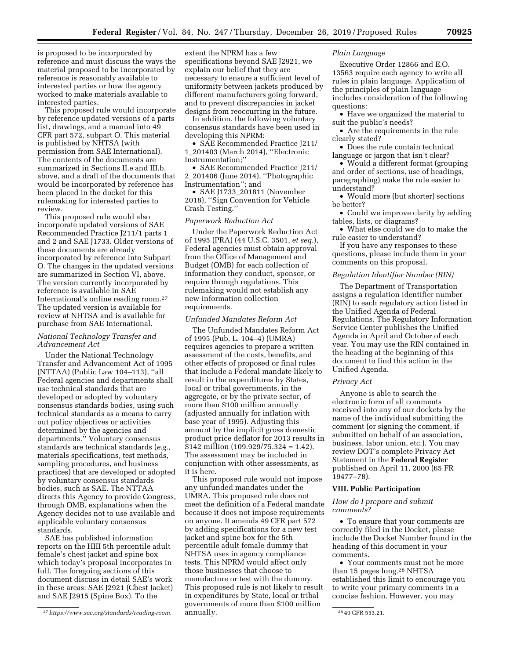is proposed to be incorporated by reference and must discuss the ways the material proposed to be incorporated by reference is reasonably available to interested parties or how the agency worked to make materials available to interested parties.

This proposed rule would incorporate by reference updated versions of a parts list, drawings, and a manual into 49 CFR part 572, subpart O. This material is published by NHTSA (with permission from SAE International). The contents of the documents are summarized in Sections II.e and III.b, above, and a draft of the documents that would be incorporated by reference has been placed in the docket for this rulemaking for interested parties to review.

This proposed rule would also incorporate updated versions of SAE Recommended Practice J211/1 parts 1 and 2 and SAE J1733. Older versions of these documents are already incorporated by reference into Subpart O. The changes in the updated versions are summarized in Section VI, above. The version currently incorporated by reference is available in SAE International's online reading room.27 The updated version is available for review at NHTSA and is available for purchase from SAE International.

## *National Technology Transfer and Advancement Act*

Under the National Technology Transfer and Advancement Act of 1995 (NTTAA) (Public Law 104–113), ''all Federal agencies and departments shall use technical standards that are developed or adopted by voluntary consensus standards bodies, using such technical standards as a means to carry out policy objectives or activities determined by the agencies and departments.'' Voluntary consensus standards are technical standards (*e.g.,*  materials specifications, test methods, sampling procedures, and business practices) that are developed or adopted by voluntary consensus standards bodies, such as SAE. The NTTAA directs this Agency to provide Congress, through OMB, explanations when the Agency decides not to use available and applicable voluntary consensus standards.

SAE has published information reports on the HIII 5th percentile adult female's chest jacket and spine box which today's proposal incorporates in full. The foregoing sections of this document discuss in detail SAE's work in these areas: SAE J2921 (Chest Jacket) and SAE J2915 (Spine Box). To the

extent the NPRM has a few specifications beyond SAE J2921, we explain our belief that they are necessary to ensure a sufficient level of uniformity between jackets produced by different manufacturers going forward, and to prevent discrepancies in jacket designs from reoccurring in the future.

In addition, the following voluntary consensus standards have been used in developing this NPRM:

• SAE Recommended Practice J211/ 1\_201403 (March 2014), ''Electronic Instrumentation;''

• SAE Recommended Practice J211/ 2\_201406 (June 2014), ''Photographic Instrumentation''; and

• SAE J1733\_201811 (November 2018), ''Sign Convention for Vehicle Crash Testing.''

### *Paperwork Reduction Act*

Under the Paperwork Reduction Act of 1995 (PRA) (44 U.S.C. 3501, *et seq.*), Federal agencies must obtain approval from the Office of Management and Budget (OMB) for each collection of information they conduct, sponsor, or require through regulations. This rulemaking would not establish any new information collection requirements.

### *Unfunded Mandates Reform Act*

The Unfunded Mandates Reform Act of 1995 (Pub. L. 104–4) (UMRA) requires agencies to prepare a written assessment of the costs, benefits, and other effects of proposed or final rules that include a Federal mandate likely to result in the expenditures by States, local or tribal governments, in the aggregate, or by the private sector, of more than \$100 million annually (adjusted annually for inflation with base year of 1995). Adjusting this amount by the implicit gross domestic product price deflator for 2013 results in \$142 million (109.929/75.324 = 1.42). The assessment may be included in conjunction with other assessments, as it is here.

27*<https://www.sae.org/standards/reading-room>*. 28 49 CFR 553.21. This proposed rule would not impose any unfunded mandates under the UMRA. This proposed rule does not meet the definition of a Federal mandate because it does not impose requirements on anyone. It amends 49 CFR part 572 by adding specifications for a new test jacket and spine box for the 5th percentile adult female dummy that NHTSA uses in agency compliance tests. This NPRM would affect only those businesses that choose to manufacture or test with the dummy. This proposed rule is not likely to result in expenditures by State, local or tribal governments of more than \$100 million annually.

# *Plain Language*

Executive Order 12866 and E.O. 13563 require each agency to write all rules in plain language. Application of the principles of plain language includes consideration of the following questions:

• Have we organized the material to suit the public's needs?

• Are the requirements in the rule clearly stated?

• Does the rule contain technical language or jargon that isn't clear?

• Would a different format (grouping and order of sections, use of headings, paragraphing) make the rule easier to understand?

• Would more (but shorter) sections be better?

• Could we improve clarity by adding tables, lists, or diagrams?

• What else could we do to make the rule easier to understand?

If you have any responses to these questions, please include them in your comments on this proposal.

### *Regulation Identifier Number (RIN)*

The Department of Transportation assigns a regulation identifier number (RIN) to each regulatory action listed in the Unified Agenda of Federal Regulations. The Regulatory Information Service Center publishes the Unified Agenda in April and October of each year. You may use the RIN contained in the heading at the beginning of this document to find this action in the Unified Agenda.

### *Privacy Act*

Anyone is able to search the electronic form of all comments received into any of our dockets by the name of the individual submitting the comment (or signing the comment, if submitted on behalf of an association, business, labor union, etc.). You may review DOT's complete Privacy Act Statement in the **Federal Register**  published on April 11, 2000 (65 FR 19477–78).

### **VIII. Public Participation**

### *How do I prepare and submit comments?*

• To ensure that your comments are correctly filed in the Docket, please include the Docket Number found in the heading of this document in your comments.

• Your comments must not be more than 15 pages long.28 NHTSA established this limit to encourage you to write your primary comments in a concise fashion. However, you may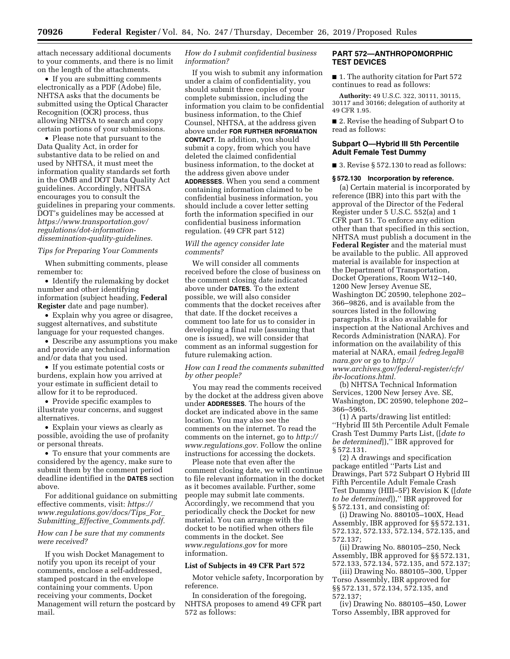attach necessary additional documents to your comments, and there is no limit on the length of the attachments.

• If you are submitting comments electronically as a PDF (Adobe) file, NHTSA asks that the documents be submitted using the Optical Character Recognition (OCR) process, thus allowing NHTSA to search and copy certain portions of your submissions.

• Please note that pursuant to the Data Quality Act, in order for substantive data to be relied on and used by NHTSA, it must meet the information quality standards set forth in the OMB and DOT Data Quality Act guidelines. Accordingly, NHTSA encourages you to consult the guidelines in preparing your comments. DOT's guidelines may be accessed at *https://www.transportation.gov/ regulations/dot-information[dissemination-quality-guidelines.](https://www.transportation.gov/regulations/dot-information-dissemination-quality-guidelines)* 

### *Tips for Preparing Your Comments*

When submitting comments, please remember to:

• Identify the rulemaking by docket number and other identifying information (subject heading, **Federal Register** date and page number).

• Explain why you agree or disagree, suggest alternatives, and substitute language for your requested changes.

• Describe any assumptions you make and provide any technical information and/or data that you used.

• If you estimate potential costs or burdens, explain how you arrived at your estimate in sufficient detail to allow for it to be reproduced.

• Provide specific examples to illustrate your concerns, and suggest alternatives.

• Explain your views as clearly as possible, avoiding the use of profanity or personal threats.

• To ensure that your comments are considered by the agency, make sure to submit them by the comment period deadline identified in the **DATES** section above.

For additional guidance on submitting effective comments, visit: *[https://](https://www.regulations.gov/docs/Tips_For_Submitting_Effective_Comments.pdf) [www.regulations.gov/docs/Tips](https://www.regulations.gov/docs/Tips_For_Submitting_Effective_Comments.pdf)*\_*For*\_ *Submitting*\_*Effective*\_*Comments.pdf.* 

### *How can I be sure that my comments were received?*

If you wish Docket Management to notify you upon its receipt of your comments, enclose a self-addressed, stamped postcard in the envelope containing your comments. Upon receiving your comments, Docket Management will return the postcard by mail.

# *How do I submit confidential business information?*

If you wish to submit any information under a claim of confidentiality, you should submit three copies of your complete submission, including the information you claim to be confidential business information, to the Chief Counsel, NHTSA, at the address given above under **FOR FURTHER INFORMATION CONTACT**. In addition, you should submit a copy, from which you have deleted the claimed confidential business information, to the docket at the address given above under **ADDRESSES**. When you send a comment containing information claimed to be confidential business information, you should include a cover letter setting forth the information specified in our confidential business information regulation. (49 CFR part 512)

# *Will the agency consider late comments?*

We will consider all comments received before the close of business on the comment closing date indicated above under **DATES**. To the extent possible, we will also consider comments that the docket receives after that date. If the docket receives a comment too late for us to consider in developing a final rule (assuming that one is issued), we will consider that comment as an informal suggestion for future rulemaking action.

#### *How can I read the comments submitted by other people?*

You may read the comments received by the docket at the address given above under **ADDRESSES**. The hours of the docket are indicated above in the same location. You may also see the comments on the internet. To read the comments on the internet, go to *[http://](http://www.regulations.gov)  [www.regulations.gov.](http://www.regulations.gov)* Follow the online instructions for accessing the dockets.

Please note that even after the comment closing date, we will continue to file relevant information in the docket as it becomes available. Further, some people may submit late comments. Accordingly, we recommend that you periodically check the Docket for new material. You can arrange with the docket to be notified when others file comments in the docket. See *[www.regulations.gov](http://www.regulations.gov)* for more information.

### **List of Subjects in 49 CFR Part 572**

Motor vehicle safety, Incorporation by reference.

In consideration of the foregoing, NHTSA proposes to amend 49 CFR part 572 as follows:

# **PART 572—ANTHROPOMORPHIC TEST DEVICES**

■ 1. The authority citation for Part 572 continues to read as follows:

**Authority:** 49 U.S.C. 322, 30111, 30115, 30117 and 30166; delegation of authority at 49 CFR 1.95.

■ 2. Revise the heading of Subpart O to read as follows:

### **Subpart O—Hybrid III 5th Percentile Adult Female Test Dummy**

■ 3. Revise § 572.130 to read as follows:

#### **§ 572.130 Incorporation by reference.**

(a) Certain material is incorporated by reference (IBR) into this part with the approval of the Director of the Federal Register under 5 U.S.C. 552(a) and 1 CFR part 51. To enforce any edition other than that specified in this section, NHTSA must publish a document in the **Federal Register** and the material must be available to the public. All approved material is available for inspection at the Department of Transportation, Docket Operations, Room W12–140, 1200 New Jersey Avenue SE, Washington DC 20590, telephone 202– 366–9826, and is available from the sources listed in the following paragraphs. It is also available for inspection at the National Archives and Records Administration (NARA). For information on the availability of this material at NARA, email *[fedreg.legal@](mailto:fedreg.legal@nara.gov) [nara.gov](mailto:fedreg.legal@nara.gov)* or go to *[http://](http://www.archives.gov/federal-register/cfr/ibr-locations.html) [www.archives.gov/federal-register/cfr/](http://www.archives.gov/federal-register/cfr/ibr-locations.html)  [ibr-locations.html.](http://www.archives.gov/federal-register/cfr/ibr-locations.html)* 

(b) NHTSA Technical Information Services, 1200 New Jersey Ave. SE, Washington, DC 20590, telephone 202– 366–5965.

(1) A parts/drawing list entitled: ''Hybrid III 5th Percentile Adult Female Crash Test Dummy Parts List, ([*date to be determined*]),'' IBR approved for § 572.131.

(2) A drawings and specification package entitled ''Parts List and Drawings, Part 572 Subpart O Hybrid III Fifth Percentile Adult Female Crash Test Dummy (HIII–5F) Revision K ([*date to be determined*]),'' IBR approved for § 572.131, and consisting of:

(i) Drawing No. 880105–100X, Head Assembly, IBR approved for §§ 572.131, 572.132, 572.133, 572.134, 572.135, and 572.137;

(ii) Drawing No. 880105–250, Neck Assembly, IBR approved for §§ 572.131, 572.133, 572.134, 572.135, and 572.137;

(iii) Drawing No. 880105–300, Upper Torso Assembly, IBR approved for §§ 572.131, 572.134, 572.135, and 572.137;

(iv) Drawing No. 880105–450, Lower Torso Assembly, IBR approved for